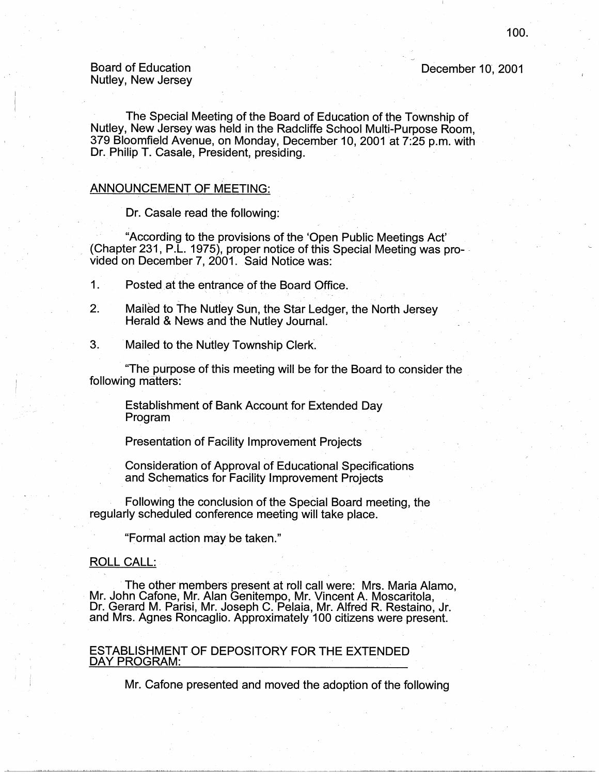# Board of Education Nutley, New Jersey

The Special Meeting of the Board of Education of the Township of Nutley, New Jersey was held in the Radcliffe School Multi-Purpose Room, 379 Bloomfield Avenue, on Monday, December 10, 2001 at 7:25 p.m. with Dr. Philip T. Casale, President, presiding.

# ANNOUNCEMENT OF MEETING:

Dr. Casale read the following:

"According to the provisions of the 'Open Public Meetings Act' (Chapter 231, P.L. 1975), proper notice of this Special Meeting was provided on December 7, 2001. Said Notice was:

1. Posted at the entrance of the Board Office.

- 2. Mailed to The Nutley Sun, the Star Ledger, the North Jersey Herald & News and the Nutley Journal.
- 3. Mailed to the Nutley Township Clerk.

"The purpose of this meeting will be for the Board to consider the following matters:

Establishment of Bank Account for Extended Day Program

Presentation of Facility Improvement Projects

Consideration of Approval of Educational Specifications and Schematics for Facility Improvement Projects

Following the conclusion of the Special Board meeting, the regularly scheduled conference meeting will take place.

"Formal action may be taken."

# ROLL CALL:

The other members present at roll call were: Mrs. Maria Alamo, Mr. John Cafone, Mr. Alan Genitempo, Mr. Vincent A. Moscaritola, Dr. Gerard M. Parisi, Mr. Joseph C. Pelaia, Mr. Alfred R. Restaino, Jr. and Mrs. Agnes Roncaglio. Approximately 100 citizens were present.

#### ESTABLISHMENT OF DEPOSITORY FOR THE EXTENDED DAY PROGRAM:

Mr. Cafone presented and moved the adoption of the following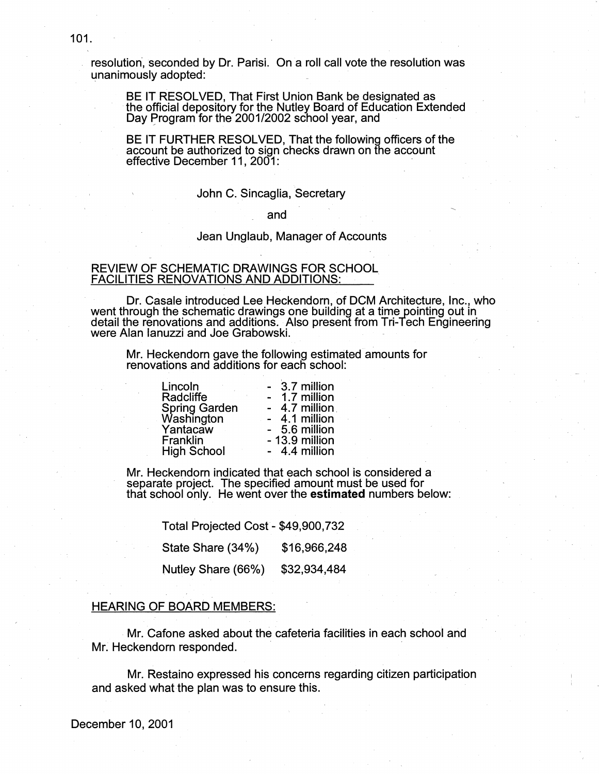BE IT RESOLVED, That First Union Bank be designated as the official depository for the Nutley Board of Education Extended Day Program for the 2001/2002 school year, and

BE IT FURTHER RESOLVED, That the following officers of the account be authorized to sign checks drawn on the account effective December 11, 2001:

## John C. Sincaglia, Secretary

and

## Jean Unglaub, Manager of Accounts

# REVIEW OF SCHEMATIC DRAWINGS FOR SCHOOL FACILITIES RENOVATIONS AND ADDITIONS: .

Dr. Casale introduced Lee Heckendorn, of DCM Architecture, Inc., who went through the schematic drawings one building at a time pointing out in detail the renovations and additions. Also present from Tri-Tech Engineering were Alan Ianuzzi and Joe Grabowski. .

Mr. Heckendorn gave the following estimated amounts for renovations and additions for each school:

| Lincoln                                 | 3.7 million    |
|-----------------------------------------|----------------|
| Radcliffe                               | 1.7 million    |
| Spring Garden<br>Washington<br>Yantacaw | 4.7 million    |
|                                         | 4.1 million    |
|                                         | - 5.6 million  |
| <b>Franklin</b>                         | - 13.9 million |
| <b>High School</b>                      | - 4.4 million  |

Mr. Heckendorn indicated that each school is considered a separate project. The specified amount must be used for that school only. He went over the **estimated** numbers below:

Total Projected Cost- \$49,900,732 State Share (34%) \$16,966,248 Nutley Share (66%) \$32,934,484

## HEARING OF BOARD MEMBERS:

Mr. Cafone asked about the cafeteria facilities in each school and Mr; Heckendorn responded.

Mr. Restaino expressed his concerns regarding citizen participation and asked what the plan was to ensure this.

December 10, 2001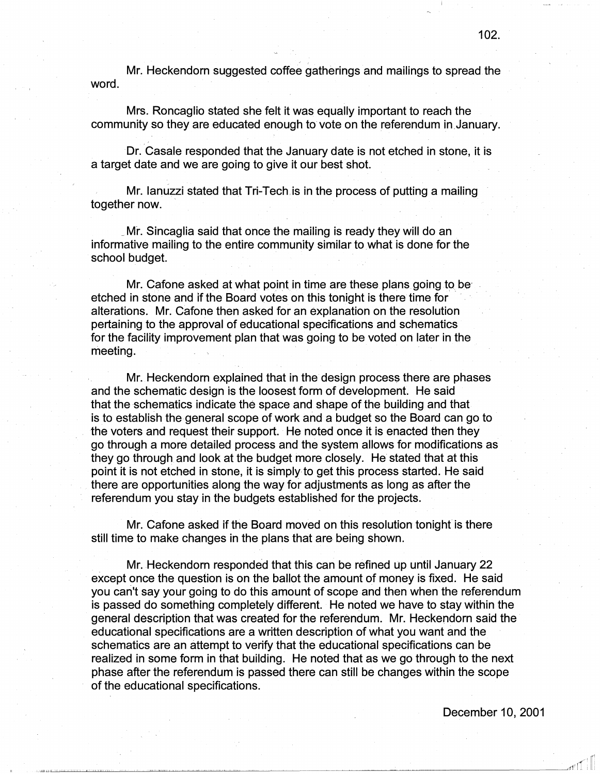Mr. Heckendorn suggested coffee gatherings and mailings to spread the word.

Mrs. Roncaglio stated she felt it was equally important to reach the community so they are educated enough to vote on the referendum in January.

Dr. Casale responded that the January date is not etched in stone, it is a target date and we are going to give it our best shot.

Mr. Ianuzzi stated that Tri-Tech is in the process of putting a mailing together now.

\_ Mr. Sincaglia said that once the mailing is ready they will do an informative mailing to the entire community similar to what is done for the school budget.

Mr. Cafone asked at what point in time are these plans going to be· etched in stone and if the Board votes on this tonight is there time for alterations. Mr. Cafone then asked for an explanation on the resolution pertaining to the approval of educational specifications and schematics for the facility improvement plan that was going to be voted on later in the meeting.

Mr. Heckendorn explained that in the design process there are phases and the schematic design is the loosest form of development. He said that the schematics indicate the space and shape of the building and that is to establish the general scope of work and a budget so the Board can go to the voters and request their support. He noted once it is enacted then they go through a more detailed process and the system allows for modifications as they go through and look at the budget more closely. He stated that at this point it is not etched in stone, it is simply to get this process started. He said there are opportunities along the way for adjustments as long as after the referendum you stay in the budgets established for the projects.

Mr. Cafone asked if the Board moved on this resolution tonight is there still time to make changes in the plans that are being shown.

Mr. Heckendorn responded that this can be refined up until January 22 except once the question is on the ballot the amount of money is fixed. He said you can't say your going to do this amount of scope and then when the referendum is passed do something completely different. He noted we have to stay within the general description that was created for the referendum. Mr. Heckendorn said the· educational specifications are a written description of what you want and the schematics are an attempt to verify that the educational specifications can be realized in some form in that building. He noted that as we go through to the next phase after the referendum is passed there can still be changes within the scope of the educational specifications.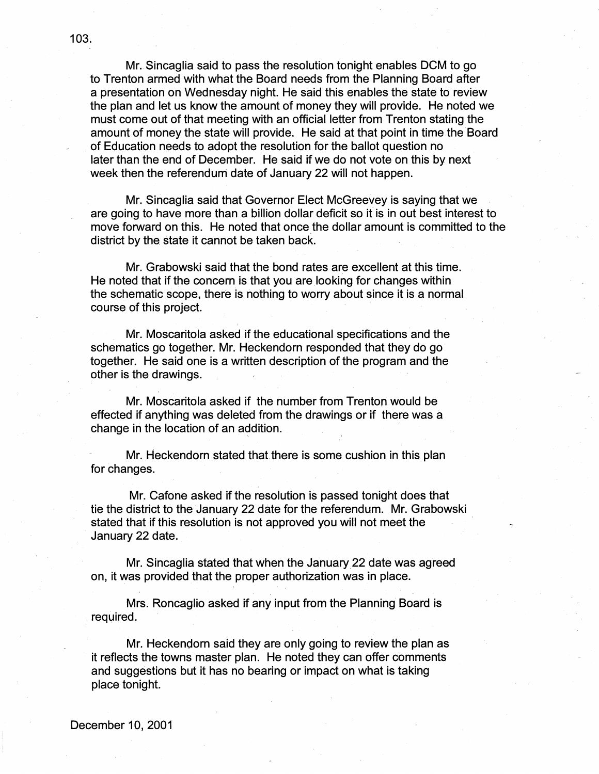Mr. Sincaglia said to pass the resolution tonight enables DCM to go to Trenton armed with what the Board needs from the Planning Board after a presentation on Wednesday night. He said this enables the state to review the plan and let us know the amount of money they will provide. He noted we must come out of that meeting with an official letter from Trenton stating the amount of money the state will provide. He said at that point in time the Board of Education needs to adopt the resolution for the ballot question no later than the end of December. He said if we do not vote on this by next week then the referendum date of January 22 will not happen.

Mr. Sincaglia said that Governor Elect McGreevey is saying that we are going to have more than a billion dollar deficit so it is in out best interest to move forward on this. He noted that once the dollar amount is committed to the district by the, state it cannot be taken back.

Mr. Grabowski said that the bond rates are excellent at this time. He noted that if the concern is that you are looking for changes within the schematic scope, there is nothing to worry about since it is a normal course of this project.

Mr. Moscaritola asked if the educational specifications and the schematics go together. Mr. Heckendorn responded that they do go together. He said one is a written description of the program and the other is the drawings.

Mr. Moscaritola asked if the number from Trenton would be effected if anything was deleted from the drawings or if there was a change in the location of an addition.

Mr. Heckendorn stated that there is some cushion in this plan for changes.

Mr. Cafone asked if the resolution is passed tonight does that tie the district to the January 22 date for the referendum. Mr. Grabowski stated that if this resolution is not approved you will not meet the January 22 date.

Mr. Sincaglia stated that when the January 22 date was agreed on, it was provided that the proper authorization was in place.

Mrs. Roncaglio asked if any input from the Planning Board is . required.

Mr. Heckendorn said they are only going to review the plan as it reflects the towns master plan. He noted they can offer comments and suggestions but it has no bearing or impact on what is taking place tonight.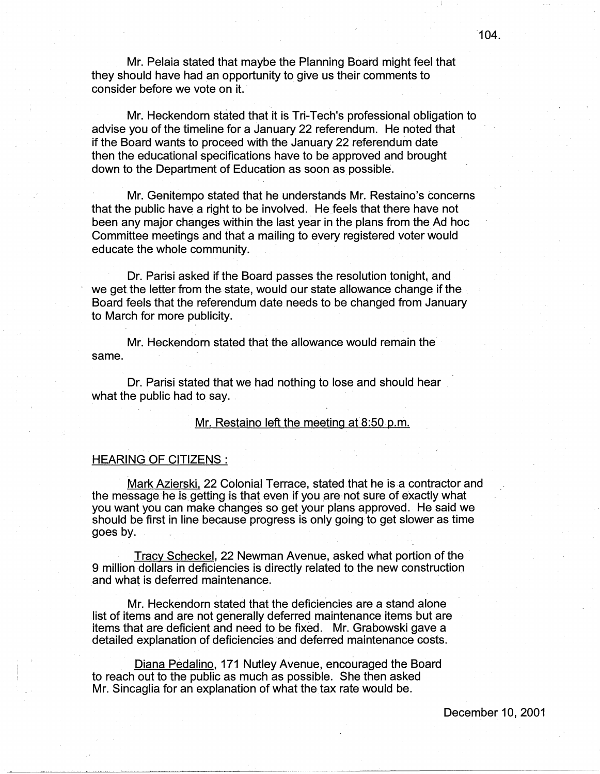Mr. Pelaia stated that maybe the Planning Board might feel that they should have had an opportunity to give us their comments to consider before we vote on it.

Mr. Heckendorn stated that it is Tri-Tech's professional obligation to advise you of the timeline for a January 22 referendum. He noted that if the Board wants to proceed with the January 22 referendum date then the educational specifications have to be approved and brought down to the Department of Education as soon as possible.

Mr. Genitempo stated that he understands Mr. Restaino's concerns that the public have a right to be involved. He feels that there have not been any major changes within the last year in the plans from the Ad hoc Committee meetings and that a mailing to every registered voter would educate the whole community.

Dr. Parisi asked if the Board passes the resolution tonight, and we get the letter from the state, would our state allowance change if the Board feels that the referendum date needs to be changed from January to March for more publicity.

Mr. Heckendorn stated that the allowance would remain the same.

Dr. Parisi stated that we had nothing to lose and should hear what the public had to say.

# Mr. Restaino left the meeting at 8:50 p.m.

# HEARING OF CITIZENS :

Mark Azierski, 22 Colonial Terrace, stated that he is a contractor and the message he is getting is that even if you are not sure of exactly what you want you can make changes so get your plans approved. He said we should be first in line because progress is only going to get slower as time goes by.

Tracy Scheckel, 22 Newman Avenue, asked what portion of the 9 million dollars in deficiencies is directly related to the new construction and what is deferred maintenance.

Mr. Heckendorn stated that the deficiencies are a stand alone list of items and are not generally deferred maintenance items but are items that are deficient and need to be fixed. Mr. Grabowski gave a detailed explanation of deficiencies and deferred maintenance costs.

Diana Pedalino, 171 Nutley Avenue, encouraged the Board to reach out to the public as much as possible. She then asked Mr. Sincaglia for an explanation of what the tax rate would be.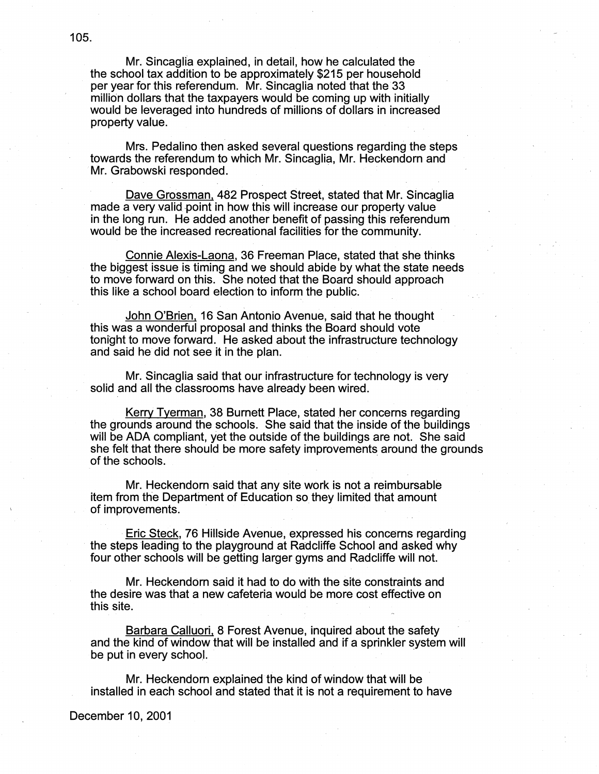Mr. Sincaglia explained, in detail, how he calculated the the school tax addition to be approximately \$215 per household per year for this referendum. Mr. Sincaglia noted that the 33 million dollars that the taxpayers would be coming up with initially would be leveraged into hundreds of millions of dollars in increased property value.

Mrs. Pedalino then asked several questions regarding the steps towards the referendum to which Mr. Sincaglia, Mr. Heckendorn and Mr. Grabowski responded.

Dave Grossman. 482 Prospect Street, stated that Mr. Sincaglia made a very valid-point in how this will increase our property value in the long run. He added another benefit of passing this referendum would be the increased recreational facilities for the community.

Connie Alexis-Laona, 36 Freeman Place, stated that she thinks the biggest issue is timing and we should abide by what the state needs to move forward on this. She noted that the Board should approach this like a school board election to inform the public.

John O'Brien, 16 San Antonio Avenue, said that he thought this was a wonderful proposal and thinks the Board should vote tonight to move forward. He asked about the infrastructure technology and said he did not see it in the plan.

Mr. Sincaglia said that our infrastructure for technology is very solid and all the classrooms have already been wired.

Kerry Tyerman, 38 Burnett Place, stated her concerns regarding the grounds around the schools. She said that the inside of the buildings will be ADA compliant, yet the outside of the buildings are not. She said she felt that there should be more safety improvements around the grounds of the schools.

Mr. Heckendorn said that any site work is not a reimbursable item from the Department of Education so they limited that amount of improvements.

Eric Steck, 76 Hillside Avenue, expressed his concerns regarding · the steps leading to the playground at Radcliffe School and asked why four other schools will be getting larger gyms and Radcliffe will not.

Mr. Heckendorn said it had to do with the site constraints and the desire was that a new cafeteria would be more cost effective on this site.

Barbara Calluori, 8 Forest Avenue, inquired about the safety and the kind of window that will be installed and if a sprinkler system will be put in every school.

Mr. Heckendorn explained the kind of window that will be installed in each school and stated that it is not a requirement to have

December 10, 2001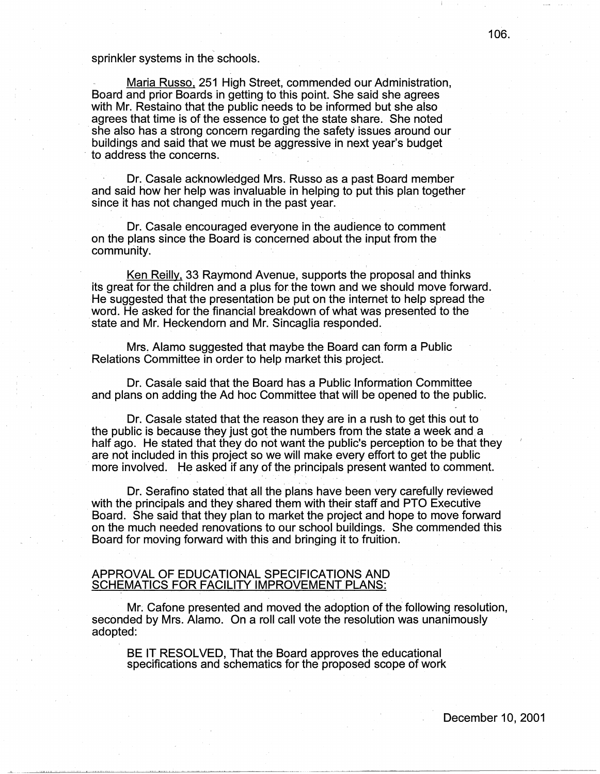## sprinkler systems in the schools.

Maria Russo, 251 High Street, commended our Administration, Board and prior Boards in getting to this point. She said she agrees with Mr. Restaino that the public needs to be informed but she also agrees that time is of the essence to get the state share. She noted she also has a strong concern regarding the safety issues around our buildings and said that we must be aggressive in next year's budget to address the concerns.

Dr. Casale acknowledged Mrs. Russo as a past Board member and said how her help was invaluable in helping to put this plan together since it has not changed much in the past year.

Dr. Casale encouraged everyone in the audience to comment on the plans since the Board is concerned about the input from the community.

Ken Reilly, 33 Raymond Avenue, supports the proposal and thinks its great for the children and a plus for the town and we should move forward. He suggested that the presentation be put on the internet to help spread the word. He asked for the financial breakdown of what was presented to the state and Mr. Heckendorn and Mr. Sincaglia responded.

Mrs, Alamo suggested that maybe the Board can form a Public Relations Committee in order to help market this project.

Dr. Casale said that the Board has a Public Information Committee and plans on adding the Ad hoc Committee that will be opened to the public.

Dr. Casale stated that the reason they are in a rush to get this out to the public is because they just got the numbers from the state a week and a half ago. He stated that they do not want the public's perception to be that they are not included in this project so we will make every effort to get the public more involved. He asked if any of the principals present wanted to comment.

Dr. Serafino stated that all the plans have been very carefully reviewed with the principals and they shared them with their staff and PTO Executive Board. She said that they plan to market the project and hope to move forward on the much needed renovations to our school buildings. She commended this Board for moving forward with this and bringing it to fruition.

# APPROVAL OF EDUCATIONAL SPECIFICATIONS AND SCHEMATICS FOR FACILITY IMPROVEMENT PLANS:

Mr. Cafone presented and moved the adoption of the following resolution, seconded by Mrs. Alamo. On a roll call vote the resolution was unanimously adopted:

BE IT RESOLVED, That the Board approves the educational specifications and schematics for the proposed scope of work